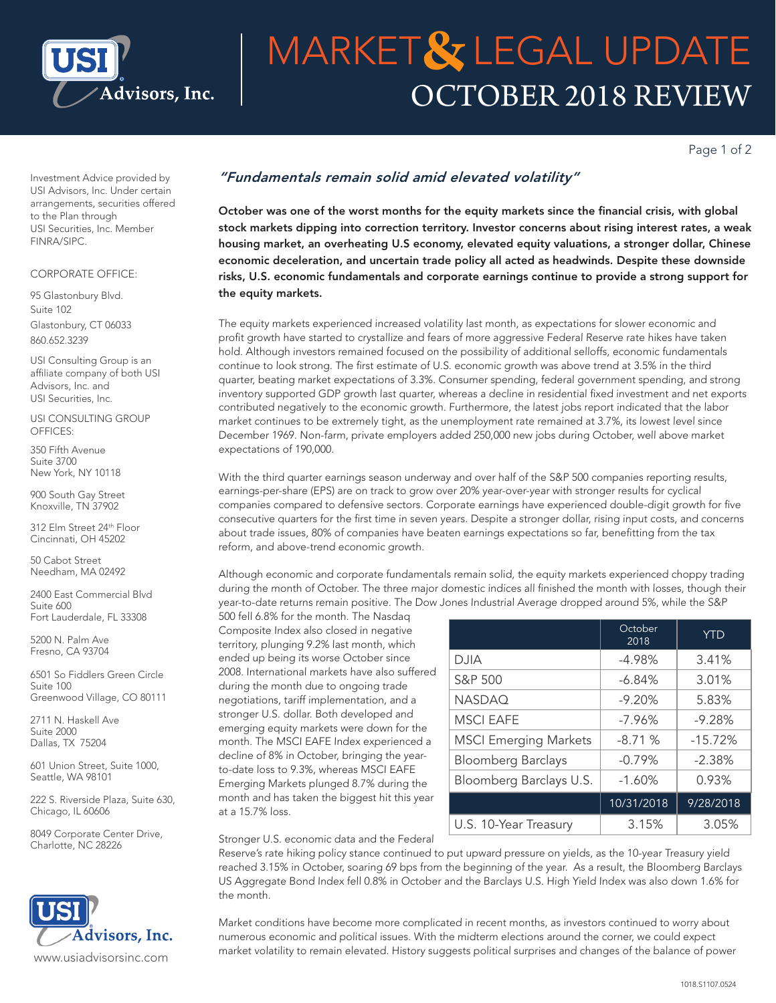

# OCTOBER 2018 REVIEW **MARKET& LEGAL UPDATE**

Page 1 of 2

Investment Advice provided by USI Advisors, Inc. Under certain arrangements, securities offered to the Plan through USI Securities, Inc. Member FINRA/SIPC.

#### CORPORATE OFFICE:

95 Glastonbury Blvd. Suite 102 Glastonbury, CT 06033 860.652.3239

USI Consulting Group is an affiliate company of both USI Advisors, Inc. and USI Securities, Inc.

USI CONSULTING GROUP OFFICES:

350 Fifth Avenue Suite 3700 New York, NY 10118

900 South Gay Street Knoxville, TN 37902

312 Elm Street 24th Floor Cincinnati, OH 45202

50 Cabot Street Needham, MA 02492

2400 East Commercial Blvd Suite 600 Fort Lauderdale, FL 33308

5200 N. Palm Ave Fresno, CA 93704

6501 So Fiddlers Green Circle Suite 100 Greenwood Village, CO 80111

2711 N. Haskell Ave Suite 2000 Dallas, TX 75204

601 Union Street, Suite 1000, Seattle, WA 98101

222 S. Riverside Plaza, Suite 630, Chicago, IL 60606

8049 Corporate Center Drive, Charlotte, NC 28226



## *"Fundamentals remain solid amid elevated volatility"*

October was one of the worst months for the equity markets since the financial crisis, with global stock markets dipping into correction territory. Investor concerns about rising interest rates, a weak housing market, an overheating U.S economy, elevated equity valuations, a stronger dollar, Chinese economic deceleration, and uncertain trade policy all acted as headwinds. Despite these downside risks, U.S. economic fundamentals and corporate earnings continue to provide a strong support for the equity markets.

The equity markets experienced increased volatility last month, as expectations for slower economic and profit growth have started to crystallize and fears of more aggressive Federal Reserve rate hikes have taken hold. Although investors remained focused on the possibility of additional selloffs, economic fundamentals continue to look strong. The first estimate of U.S. economic growth was above trend at 3.5% in the third quarter, beating market expectations of 3.3%. Consumer spending, federal government spending, and strong inventory supported GDP growth last quarter, whereas a decline in residential fixed investment and net exports contributed negatively to the economic growth. Furthermore, the latest jobs report indicated that the labor market continues to be extremely tight, as the unemployment rate remained at 3.7%, its lowest level since December 1969. Non-farm, private employers added 250,000 new jobs during October, well above market expectations of 190,000.

With the third quarter earnings season underway and over half of the S&P 500 companies reporting results, earnings-per-share (EPS) are on track to grow over 20% year-over-year with stronger results for cyclical companies compared to defensive sectors. Corporate earnings have experienced double-digit growth for five consecutive quarters for the first time in seven years. Despite a stronger dollar, rising input costs, and concerns about trade issues, 80% of companies have beaten earnings expectations so far, benefitting from the tax reform, and above-trend economic growth.

Although economic and corporate fundamentals remain solid, the equity markets experienced choppy trading during the month of October. The three major domestic indices all finished the month with losses, though their year-to-date returns remain positive. The Dow Jones Industrial Average dropped around 5%, while the S&P

500 fell 6.8% for the month. The Nasdaq Composite Index also closed in negative territory, plunging 9.2% last month, which ended up being its worse October since 2008. International markets have also suffered during the month due to ongoing trade negotiations, tariff implementation, and a stronger U.S. dollar. Both developed and emerging equity markets were down for the month. The MSCI EAFE Index experienced a decline of 8% in October, bringing the yearto-date loss to 9.3%, whereas MSCI EAFE Emerging Markets plunged 8.7% during the month and has taken the biggest hit this year at a 15.7% loss.

|                              | October<br>2018 | <b>YTD</b> |
|------------------------------|-----------------|------------|
| DJIA                         | $-4.98%$        | 3.41%      |
| S&P 500                      | $-6.84\%$       | 3.01%      |
| <b>NASDAQ</b>                | $-9.20%$        | 5.83%      |
| <b>MSCI EAFE</b>             | $-7.96%$        | $-9.28%$   |
| <b>MSCI Emerging Markets</b> | $-8.71%$        | $-15.72%$  |
| <b>Bloomberg Barclays</b>    | $-0.79%$        | $-2.38%$   |
| Bloomberg Barclays U.S.      | $-1.60%$        | 0.93%      |
|                              | 10/31/2018      | 9/28/2018  |
| U.S. 10-Year Treasury        | 3.15%           | 3.05%      |

Stronger U.S. economic data and the Federal

Reserve's rate hiking policy stance continued to put upward pressure on yields, as the 10-year Treasury yield reached 3.15% in October, soaring 69 bps from the beginning of the year. As a result, the Bloomberg Barclays US Aggregate Bond Index fell 0.8% in October and the Barclays U.S. High Yield Index was also down 1.6% for the month.

Market conditions have become more complicated in recent months, as investors continued to worry about numerous economic and political issues. With the midterm elections around the corner, we could expect market volatility to remain elevated. History suggests political surprises and changes of the balance of power